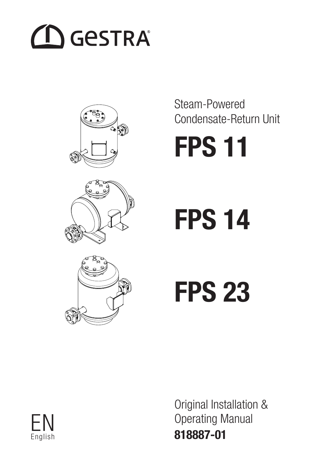# **CO** GESTRA









FPS 14



FPS 23

Original Installation & Operating Manual 818887-01

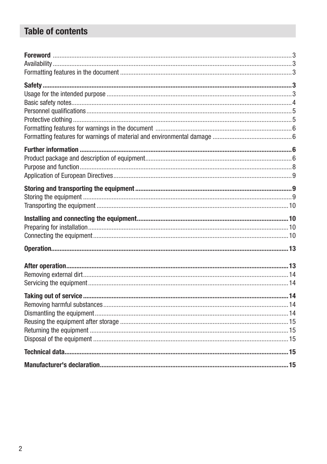# **Table of contents**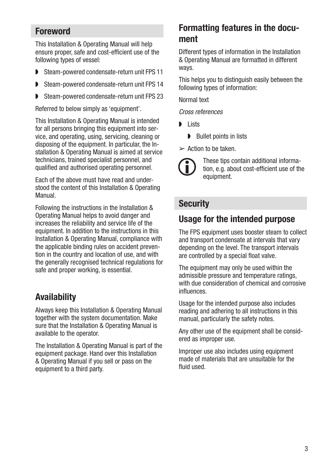#### Foreword

This Installation & Operating Manual will help ensure proper, safe and cost-efficient use of the following types of vessel:

- ◗ Steam-powered condensate-return unit FPS 11
- ◗ Steam-powered condensate-return unit FPS 14
- ◗ Steam-powered condensate-return unit FPS 23

Referred to below simply as 'equipment'.

This Installation & Operating Manual is intended for all persons bringing this equipment into service, and operating, using, servicing, cleaning or disposing of the equipment. In particular, the Installation & Operating Manual is aimed at service technicians, trained specialist personnel, and qualified and authorised operating personnel.

Each of the above must have read and understood the content of this Installation & Operating Manual.

Following the instructions in the Installation & Operating Manual helps to avoid danger and increases the reliability and service life of the equipment. In addition to the instructions in this Installation & Operating Manual, compliance with the applicable binding rules on accident prevention in the country and location of use, and with the generally recognised technical regulations for safe and proper working, is essential.

#### Availability

Always keep this Installation & Operating Manual together with the system documentation. Make sure that the Installation & Operating Manual is available to the operator.

The Installation & Operating Manual is part of the equipment package. Hand over this Installation & Operating Manual if you sell or pass on the equipment to a third party.

# Formatting features in the document

Different types of information in the Installation & Operating Manual are formatted in different ways.

This helps you to distinguish easily between the following types of information:

Normal text

Cross references

- ◗ Lists
	- Bullet points in lists
- $\geq$  Action to be taken.



These tips contain additional information, e.g. about cost-efficient use of the equipment.

#### **Security**

#### Usage for the intended purpose

The FPS equipment uses booster steam to collect and transport condensate at intervals that vary depending on the level. The transport intervals are controlled by a special float valve.

The equipment may only be used within the admissible pressure and temperature ratings, with due consideration of chemical and corrosive influences.

Usage for the intended purpose also includes reading and adhering to all instructions in this manual, particularly the safety notes.

Any other use of the equipment shall be considered as improper use.

Improper use also includes using equipment made of materials that are unsuitable for the fluid used.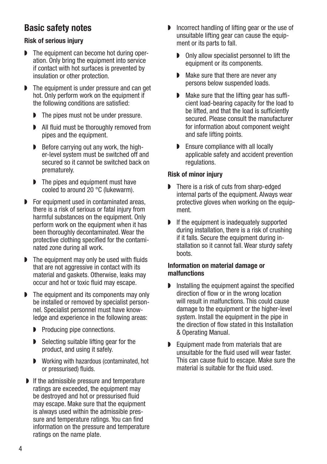# Basic safety notes

#### Risk of serious injury

- $\triangleright$  The equipment can become hot during operation. Only bring the equipment into service if contact with hot surfaces is prevented by insulation or other protection.
- $\triangleright$  The equipment is under pressure and can get hot. Only perform work on the equipment if the following conditions are satisfied:
	- $\triangleright$  The pipes must not be under pressure.
	- **D** All fluid must be thoroughly removed from pipes and the equipment.
	- $\triangleright$  Before carrying out any work, the higher-level system must be switched off and secured so it cannot be switched back on prematurely.
	- $\triangleright$  The pipes and equipment must have cooled to around 20 °C (lukewarm).
- $\triangleright$  For equipment used in contaminated areas, there is a risk of serious or fatal injury from harmful substances on the equipment. Only perform work on the equipment when it has been thoroughly decontaminated. Wear the protective clothing specified for the contaminated zone during all work.
- $\triangleright$  The equipment may only be used with fluids that are not aggressive in contact with its material and gaskets. Otherwise, leaks may occur and hot or toxic fluid may escape.
- $\triangleright$  The equipment and its components may only be installed or removed by specialist personnel. Specialist personnel must have knowledge and experience in the following areas:
	- $\triangleright$  Producing pipe connections.
	- $\triangleright$  Selecting suitable lifting gear for the product, and using it safely.
	- **N** Working with hazardous (contaminated, hot or pressurised) fluids.
- $\blacktriangleright$  If the admissible pressure and temperature ratings are exceeded, the equipment may be destroyed and hot or pressurised fluid may escape. Make sure that the equipment is always used within the admissible pressure and temperature ratings. You can find information on the pressure and temperature ratings on the name plate.
- $\blacksquare$  Incorrect handling of lifting gear or the use of unsuitable lifting gear can cause the equipment or its parts to fall.
	- $\triangleright$  Only allow specialist personnel to lift the equipment or its components.
	- $\blacksquare$  Make sure that there are never any persons below suspended loads.
	- $\triangleright$  Make sure that the lifting gear has sufficient load-bearing capacity for the load to be lifted, and that the load is sufficiently secured. Please consult the manufacturer for information about component weight and safe lifting points.
	- $\triangleright$  Ensure compliance with all locally applicable safety and accident prevention regulations.

#### Risk of minor injury

- $\triangleright$  There is a risk of cuts from sharp-edged internal parts of the equipment. Always wear protective gloves when working on the equipment.
- $\blacktriangleright$  If the equipment is inadequately supported during installation, there is a risk of crushing if it falls. Secure the equipment during installation so it cannot fall. Wear sturdy safety boots.

#### Information on material damage or malfunctions

- $\blacksquare$  Installing the equipment against the specified direction of flow or in the wrong location will result in malfunctions. This could cause damage to the equipment or the higher-level system. Install the equipment in the pipe in the direction of flow stated in this Installation & Operating Manual.
- $\blacktriangleright$  Equipment made from materials that are unsuitable for the fluid used will wear faster. This can cause fluid to escape. Make sure the material is suitable for the fluid used.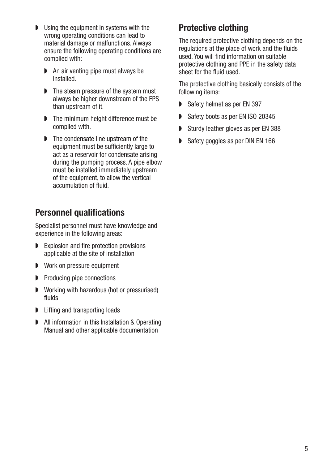- $\bullet$  Using the equipment in systems with the wrong operating conditions can lead to material damage or malfunctions. Always ensure the following operating conditions are complied with:
	- $\triangleright$  An air venting pipe must always be installed.
	- $\triangleright$  The steam pressure of the system must always be higher downstream of the FPS than upstream of it.
	- $\triangleright$  The minimum height difference must be complied with.
	- $\triangleright$  The condensate line upstream of the equipment must be sufficiently large to act as a reservoir for condensate arising during the pumping process. A pipe elbow must be installed immediately upstream of the equipment, to allow the vertical accumulation of fluid.

# Personnel qualifications

Specialist personnel must have knowledge and experience in the following areas:

- $\triangleright$  Explosion and fire protection provisions applicable at the site of installation
- Work on pressure equipment
- $\triangleright$  Producing pipe connections
- **D** Working with hazardous (hot or pressurised) fluids
- $\blacktriangleright$  Lifting and transporting loads
- **D** All information in this Installation & Operating Manual and other applicable documentation

# Protective clothing

The required protective clothing depends on the regulations at the place of work and the fluids used. You will find information on suitable protective clothing and PPE in the safety data sheet for the fluid used.

The protective clothing basically consists of the following items:

- Safety helmet as per FN 397
- Safety boots as per FN ISO 20345
- Sturdy leather gloves as per EN 388
- Safety goggles as per DIN EN 166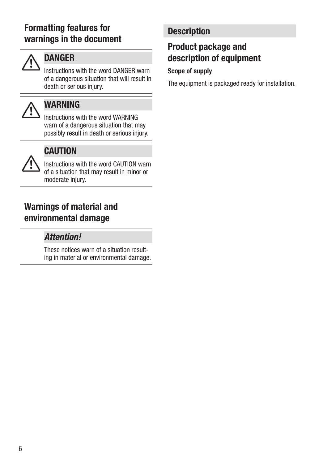# Formatting features for warnings in the document



# **DANGER**

mandedons with the word BANGEN wann<br>of a dangerous situation that will result in death or serious injury. Instructions with the word DANGER warn



# WARNING

warn or a dangerous shuadon that may<br>possibly result in death or serious injury. warnhing in Text and the Second Construction in the Second Construction in the Second Construction in the Second Construction in the Second Construction in the Second Construction in the Second Construction in the Second C Instructions with the word WARNING mstructions with the word wArninnud<br>warn of a dangerous situation that may possibly result in death or serious injury.



#### **UAUTIUN** CAUTION

UP LUP LIGHT<br>Instructions with the word CAUTION warn instructions with the word CAOTION warn<br>of a situation that may result in minor or vor einer die zum die zum die zum die zum die die zum die die zum die die zum die die zum die die zum die die <br>Geschicht ware von die zum die zum die zum die die zum die die zum die zum die zum die zum die zum die zum die möglicherweise zum Tod oder zu schweren

Tod oder zu schweren verletzungen führt.<br>Tod oder zu schweren führt.

vor einer Situation, die zu leichten oder Situation, die zu leichten oder Situation, die zu leichten oder Situ<br>Situation, die zu leichten oder Situation, die zu leichten oder Situation, die zu leichten die zu leichten die

#### Warnings of material and onmental damage environmental damage

#### vor einer gefährlichen Situation, die attention!<br>1986 – Zum Tod oder zu schweren oder Situation, die zu leichten oder zu leichten oder zu leichten oder zu leic Hinweise mit dem Wort VORSICHT warnen

Volksweise der Stadt

These notices warn of a situation result-<u>diese Hindustriese warnen voor die stel</u> ing in material or environmental damage.

# Description

# Product package and description of equipment

#### Beschreibung Lieferumfang Scope of supply

The equipment is packaged ready for installation.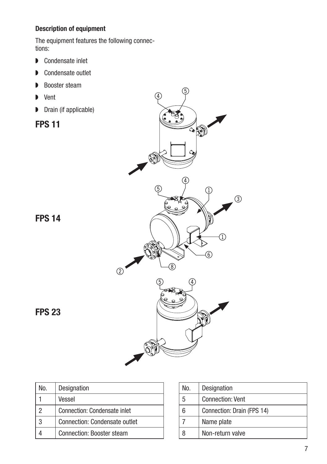#### Description of equipment

The equipment features the following connections:

- $\triangleright$  Condensate inlet
- $\triangleright$  Condensate outlet
- $\triangleright$  Booster steam
- $\triangleright$  Vent
- $\triangleright$  Drain (if applicable)

#### FPS 11



FPS 23



No. Designation 1 Vessel 2 Connection: Condensate inlet 3 Connection: Condensate outlet 4 Connection: Booster steam

| No. | Designation                |
|-----|----------------------------|
| 5   | <b>Connection: Vent</b>    |
| 6   | Connection: Drain (FPS 14) |
|     | Name plate                 |
|     | Non-return valve           |

7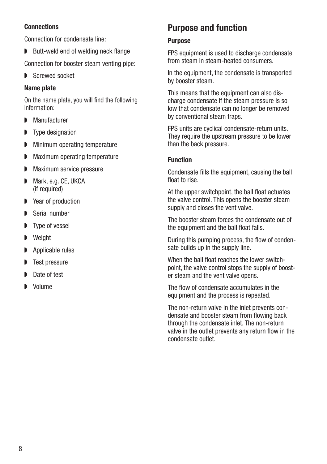#### **Connections**

Connection for condensate line:

**D** Butt-weld end of welding neck flange

Connection for booster steam venting pipe:

 $\blacktriangleright$  Screwed socket

#### Name plate

On the name plate, you will find the following information:

- $\blacksquare$  Manufacturer
- $\triangleright$  Type designation
- $\triangleright$  Minimum operating temperature
- **D** Maximum operating temperature
- $\blacksquare$  Maximum service pressure
- **Mark, e.g. CE, UKCA** (if required)
- $\blacktriangleright$  Year of production
- $\blacksquare$  Serial number
- $\triangleright$  Type of vessel
- $\triangleright$  Weight
- $\blacktriangleright$  Applicable rules
- $\triangleright$  Test pressure
- Date of test
- Volume

# Purpose and function

#### Purpose

FPS equipment is used to discharge condensate from steam in steam-heated consumers.

In the equipment, the condensate is transported by booster steam.

This means that the equipment can also discharge condensate if the steam pressure is so low that condensate can no longer be removed by conventional steam traps.

FPS units are cyclical condensate-return units. They require the upstream pressure to be lower than the back pressure.

#### Function

Condensate fills the equipment, causing the ball float to rise.

At the upper switchpoint, the ball float actuates the valve control. This opens the booster steam supply and closes the vent valve.

The booster steam forces the condensate out of the equipment and the ball float falls.

During this pumping process, the flow of condensate builds up in the supply line.

When the ball float reaches the lower switchpoint, the valve control stops the supply of booster steam and the vent valve opens.

The flow of condensate accumulates in the equipment and the process is repeated.

The non-return valve in the inlet prevents condensate and booster steam from flowing back through the condensate inlet. The non-return valve in the outlet prevents any return flow in the condensate outlet.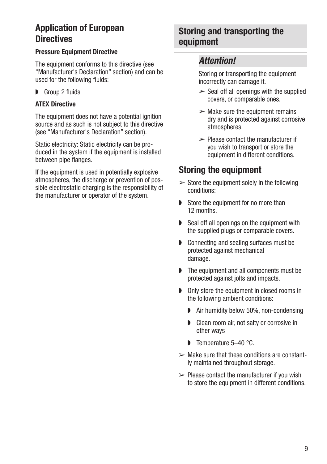#### Application of European **Directives**

#### Pressure Equipment Directive

The equipment conforms to this directive (see "Manufacturer's Declaration" section) and can be used for the following fluids:

 $\triangleright$  Group 2 fluids

#### ATEX Directive

The equipment does not have a potential ignition source and as such is not subject to this directive (see "Manufacturer's Declaration" section).

Static electricity: Static electricity can be produced in the system if the equipment is installed between pipe flanges.

If the equipment is used in potentially explosive atmospheres, the discharge or prevention of possible electrostatic charging is the responsibility of the manufacturer or operator of the system.

#### Storing and transporting the equipment

#### **Attention!**

Storing or transporting the equipment incorrectly can damage it.

- $\ge$  Seal off all openings with the supplied covers, or comparable ones.
- $\geq$  Make sure the equipment remains dry and is protected against corrosive atmospheres.
- $\geq$  Please contact the manufacturer if you wish to transport or store the equipment in different conditions.

# Storing the equipment

- $\geq$  Store the equipment solely in the following conditions:
- $\triangleright$  Store the equipment for no more than 12 months.
- $\triangleright$  Seal off all openings on the equipment with the supplied plugs or comparable covers.
- $\triangleright$  Connecting and sealing surfaces must be protected against mechanical damage.
- $\triangleright$  The equipment and all components must be protected against jolts and impacts.
- **D** Only store the equipment in closed rooms in the following ambient conditions:
	- **D** Air humidity below 50%, non-condensing
	- **D** Clean room air, not salty or corrosive in other ways
	- **D** Temperature  $5-40$  °C.
- $\triangleright$  Make sure that these conditions are constantly maintained throughout storage.
- $\triangleright$  Please contact the manufacturer if you wish to store the equipment in different conditions.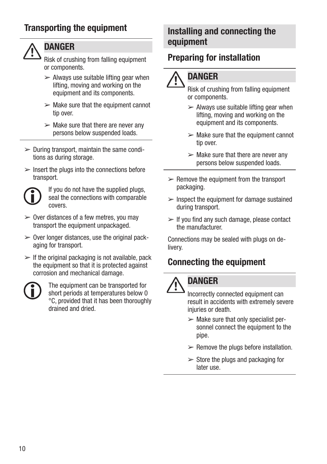# **Transporting the equipment**



#### DANGER

Risk of crushing from falling equipment or components.

- $\blacktriangleright$  Always use suitable lifting gear when lifting, moving and working on the equipment and its components.
- $\geq$  Make sure that the equipment cannot<br>tip over tip over. vor einer gefährlichen Situation, die eine Gefährlichen Situation, die eine Situation, die eine Situation, die
- $\triangleright$  Make sure that there are never any persons below suspended loads.
- $\geq$  During transport, maintain the same conditions as during storage.
- $\blacktriangleright$  Insert the plugs into the connections before transport.



If you do not have the supplied plugs, seal the connections with comparable covers.

- $\geq 0$  over distances of a few metres, you may were distances of a few metres, you in<br>transport the equipment unpackaged.
- $\triangleright$  Over longer distances, use the original packaging for transport.
- $\geq$  If the original packaging is not available, pack n die original packaging is not available, paci corrosion and mechanical damage.



The equipment can be transported for short periods at temperatures below 0 °C, provided that it has been thoroughly drained and dried.

# equipment Installing and connecting the

#### Preparing for installation Gerätebeschreibung

#### **CHR DANGER** Lieferumfang

- $\leftarrow$  Risk of crushing from falling equipment voor einer verbinden verbinden verbinden verbinden und die Akkuste verbinden und die Akkuste verbinden und die <br>Sie die Akkuste verbinden und die Akkuste verbinden und die Akkuste verbinden und die Akkuste verbinden und di
- $\geq$  Always use suitable lifting gear when equipment and its components. lifting, moving and working on the
- $\geq$  Make sure that the equipment cannot  $\mathfrak{u}$  vor  $\mathfrak{v}$ . tip over.  $\mu$  ordination.
- $\blacktriangleright$  Make sure that there are never any mare out only also also here in
- ment over the equipment.<br>packaging.  $\geq$  Remove the equipment from the transport Ledertasche
- $\mathbf{p}$  Inspect the equipment for damage sustained during transport.
	- $\blacktriangleright$  If you find any such damage, please contact the manufacturer.

 $H = \frac{1}{2}$ Connections may be sealed with plugs on de- $H = \frac{1}{2}$ livery.

# Connecting the equipment



# GEFAHR Diese Hinweise warnen vor einer Situation, DANGER

Incorrectly connected equipment can result in accidents with extremely severe injuries or death.

- sonnel connect the equipment to the<br>nine  $\triangleright$  Make sure that only specialist perpipe.
- $\sim$  Domove the pluge before installation  $\triangleright$  Remove the plugs before installation.
- $\triangleright$  Store the plugs and packaging for later use.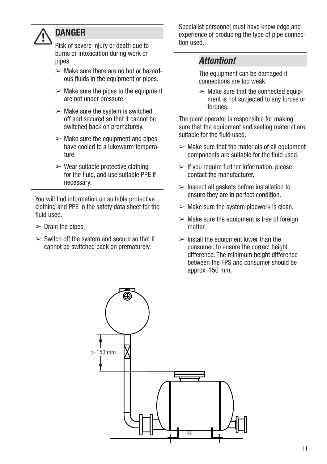# **DANGER**

Risk of severe injury or death due to burns or intoxication during work on Tod oder zu schweren Verletzungen führt. pipes.

- ous fluids in the equipment or pipes.  $\geq$  Make sure there are no hot or hazard-
- I wake sure the pipes to the equipment die not dinabi probodie.  $\geq$  Make sure the pipes to the equipment
- $\blacktriangleright$  Make sure the system is switched off and secured so that it cannot be switched back on prematurely.
- $\triangleright$  Make sure the equipment and pipes<br>have cooled to a lukewarm temporal ture. Weise mit dem Wort Vorsitzung warnen warnen warnen warnen warnen warnen warnen warnen warnen warnen warn have cooled to a lukewarm temperature.
- $\triangleright$  Wear suitable protective clothing med verletzungen for the fluid, and use suitable PPE if necessary.

You will find information on suitable protective clothing and PPE in the safety data sheet for the fluid used.

- $\blacktriangleright$  Drain the pipes.
- $\triangleright$  Switch off the system and secure so that it cannot be switched back on prematurely.

Specialist personnel must have knowledge and experience of producing the type of pipe connection used.

#### Lieferumfang die Komponenten des Geräts werden in eine Veräts werden in eine Veräts werden in eine Veräts werden in eine Ve

The equipment can be damaged if connections are too weak.

ment is not subjected to any forces or  $\overline{\phantom{a}}$  $\triangleright$  Make sure that the connected equiptorques.

The plant operator is responsible for making suitable for the fluid used. sure that the equipment and sealing material are

- $>$  Make sure that the materials of all equipment components are suitable for the fluid used.
- $\blacktriangleright$  If you require further information, please contact the manufacturer.
- $\blacktriangleright$  Inspect all gaskets before installation to ensure they are in perfect condition.
	- $\triangleright$  Make sure the system pipework is clean.
	- $\geq$  Make sure the equipment is free of foreign matter.
	- $\geq$  Install the equipment lower than the consumer, to ensure the correct height difference. The minimum height difference between the FPS and consumer should be approx. 150 mm.

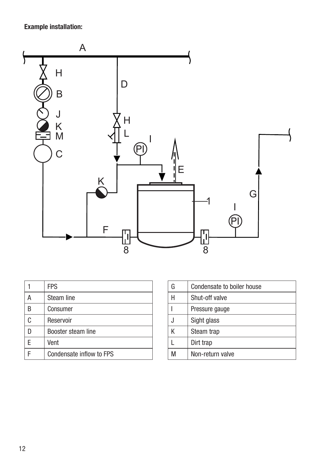Example installation:



|   | <b>FPS</b>               |
|---|--------------------------|
|   | Steam line               |
| B | Consumer                 |
| C | Reservoir                |
|   | Booster steam line       |
|   | Vent                     |
|   | Condensate inflow to FPS |

| G | Condensate to boiler house |
|---|----------------------------|
|   | Shut-off valve             |
|   | Pressure gauge             |
|   | Sight glass                |
|   | Steam trap                 |
|   | Dirt trap                  |
|   | Non-return valve           |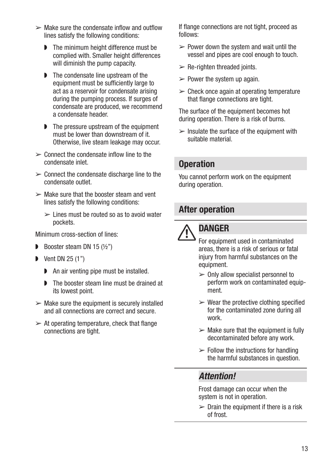- $\geq$  Make sure the condensate inflow and outflow lines satisfy the following conditions:
	- $\triangleright$  The minimum height difference must be complied with. Smaller height differences will diminish the pump capacity.
	- $\triangleright$  The condensate line upstream of the equipment must be sufficiently large to act as a reservoir for condensate arising during the pumping process. If surges of condensate are produced, we recommend a condensate header.
	- $\triangleright$  The pressure upstream of the equipment must be lower than downstream of it. Otherwise, live steam leakage may occur.
- $\geq$  Connect the condensate inflow line to the condensate inlet.
- $\geq$  Connect the condensate discharge line to the condensate outlet.
- $\geq$  Make sure that the booster steam and vent lines satisfy the following conditions:
	- $\geq$  Lines must be routed so as to avoid water pockets.

Minimum cross-section of lines:

- Booster steam DN 15  $(\frac{1}{2})$
- $\triangleright$  Vent DN 25 (1")
	- $\triangleright$  An air venting pipe must be installed.
	- $\blacksquare$  The booster steam line must be drained at its lowest point.
- $\triangleright$  Make sure the equipment is securely installed and all connections are correct and secure.
- $\geq$  At operating temperature, check that flange connections are tight.

If flange connections are not tight, proceed as follows:

- $\geq$  Power down the system and wait until the vessel and pipes are cool enough to touch.
- $\triangleright$  Re-righten threaded joints.
- $\geq$  Power the system up again.
- $\geq$  Check once again at operating temperature that flange connections are tight.

The surface of the equipment becomes hot during operation. There is a risk of burns.

 $\ge$  Insulate the surface of the equipment with suitable material.

#### **Operation**

You cannot perform work on the equipment during operation.

#### After operation



**DANGER** 

For equipment used in contaminated areas, there is a risk of serious or fatal injury from harmful substances on the equipment.

- $\geq$  0nly allow specialist personnel to<br>- perform work on contaminated equiphingens ment. Warnen Warnen warnen warnen warnen warnen warnen warnen warnen warnen warnen warnen warnen warnen warnen warnen warnen warnen warnen warnen warnen warnen warnen warnen warnen warnen warnen warnen warnen warne  $\geq 0$ nly allow specialist personnel to ment.
- $\triangleright$  Wear the protective clothing specified for the contaminated zone during all work.
- decontaminated before any work.  $\triangleright$  Make sure that the equipment is fully
- $\triangleright$  Follow the instructions for handling the harmful substances in question.

#### mittleren Verletzungen führen kann. **Attention!**

Frost damage can occur wne<br>system is not in operation. Frost damage can occur when the

 $\geq$  Drain the equipment if there is a risk <u>Achtung in der Sta</u> of frost.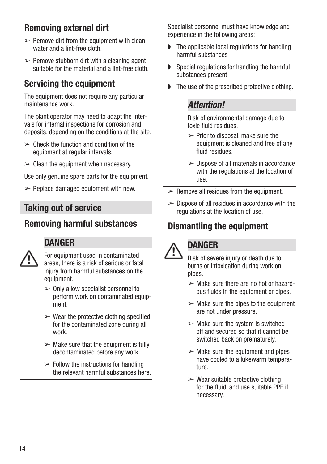# Removing external dirt

- $\geq$  Remove dirt from the equipment with clean water and a lint-free cloth.
- $\triangleright$  Remove stubborn dirt with a cleaning agent suitable for the material and a lint-free cloth.

# Servicing the equipment

The equipment does not require any particular maintenance work.

The plant operator may need to adapt the intervals for internal inspections for corrosion and deposits, depending on the conditions at the site.

- $\triangleright$  Check the function and condition of the equipment at regular intervals.
- $\geq$  Clean the equipment when necessary.

Use only genuine spare parts for the equipment.

 $\triangleright$  Replace damaged equipment with new.

#### Taking out of service

DANGER

Warnhington in Text and the Text of Text and the Text of Text and Text and Text and Text and Text and Text and Text and Text and Text and Text and Text and Text and Text and Text and Text and Text and Text and Text and Tex

# Removing harmful substances

For equipment used in contaminated areas, there is a risk of serious or fatal injury from harmful substances on the equipment.

- $\geq 0$ nly allow specialist personnel to perform work on contaminated equipment. Guipment.
- $\mathcal{P}$  Wear the protective clothing specified for the contaminated zone during all work. möglicher weise zum Tod oder zum Tod oder zum Tod oder zum Tod oder zum Tod oder zum Tod oder zum Tod oder zum
- $\blacktriangleright$  Make sure that the equipment is fully decontaminated before any work.
- $\blacktriangleright$  Follow the instructions for handling the relevant harmful substances here. Hind Tolevallt Harringi SubStanceS Hort

Specialist personnel must have knowledge and experience in the following areas:

- $\triangleright$  The applicable local regulations for handling harmful substances
- $\triangleright$  Special regulations for handling the harmful substances present
- $\blacktriangleright$  The use of the prescribed protective clothing.

#### **Attention!**

Risk of environmental damage due to toxic fluid residues.

- $\triangleright$  Prior to disposal, make sure the equipment is cleaned and free of any fluid residues.
- $\geq$  Dispose of all materials in accordance with the regulations at the location of use.
- $\triangleright$  Remove all residues from the equipment.
- regulations at the location of use.  $\geq$  Dispose of all residues in accordance with the

# Dismantling the equipment



#### **A** DANGER

 $\overline{\phantom{a}}$  Risk of severe injury or death due to burns or intoxication during work on pipes. The verletzungen für die verletzungen führt. Die verletzungen führt. Die verletzungen führt. Die verletzungen für die verletzungen für die verletzungen für die verletzungen für die verletzungen für die verletzungen

- ous fluids in the equipment or pipes.  $\triangleright$  Make sure there are no hot or hazard-
- mate care the pipes to the equipment  $\geq$  Make sure the pipes to the equipment
- vor einer gefährlichen Situation, die  $\geq$  Make sure the system is switched on and secured so that it cann<br>switched back on prematurely. off and secured so that it cannot be Anzeigegerät
- wave sure the equipment and pipes<br>have cooled to a lukewarm temperature. Weise mit dem Wort Vorsitzung warnen warnen warnen warnen warnen warnen warnen warnen warnen warnen warnen warnen warnen warnen warnen warnen warnen warnen warnen warnen warnen warnen warnen warnen warnen warnen warn  $\geq$  Make sure the equipment and pipes ture.
- $\triangleright$  Wear suitable protective clothing for the fluid, and use suitable PPE if  $n = 1$ necessary. Bedienungsanleitung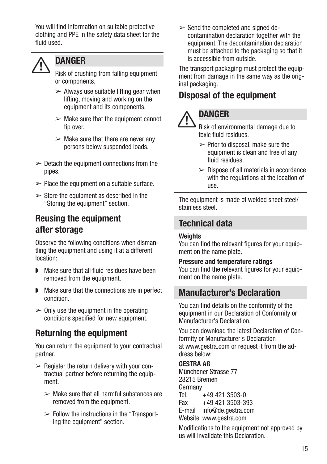You will find information on suitable protective rou will lind information on suitable protective<br>clothing and PPE in the safety data sheet for the fluid used.



#### DANGER

Risk of crushing from falling equipment or components.

- $\triangleright$  Always use suitable lifting gear when lifting, moving and working on the equipment and its components.
- $\triangleright$  Make sure that the equipment cannot<br>tip over tin over vor einer gefährlichen Situation, die eine Gefährlichen Situation, die eine Situation, die eine Situation, die
- $\blacktriangleright$  Make sure that there are never any persons below suspended loads.  $\geq$  Make sure that there are never any
- $\geq 0$  Detach the equipment connections from the pipes.  $\overline{\mathcal{S}}$ S.
- $\triangleright$  Place the equipment on a suitable surface.
- $\geq$  Store the equipment as described in the storb the equipment as assembled in the<br>"Storing the equipment" section.

# Reusing the equipment nousing and equipment

and secretive<br>Observe the following conditions when dismantling the equipment and using it at a different<br>loostion: location:

- $\blacktriangleright$  Make sure that all fluid residues have been make sare that an hald residd<br>removed from the equipment.
- $\blacktriangleright$  Make sure that the connections are in perfect condition.
- $\geq 0$ nly use the equipment in the operating conditions specified for new equipment.

# Returning the equipment

You can return the equipment to your contractual partner.

- $\triangleright$  Register the return delivery with your contractual partner before returning the equipment.
	- $\geq$  Make sure that all harmful substances are removed from the equipment.
	- $\triangleright$  Follow the instructions in the "Transporting the equipment" section.

 $\ge$  Send the completed and signed de-Send the completed and signed de-<br>contamination declaration together with the equipment. The decontamination declaration must be attached to the packaging so that it<br>is accessible from auteida is accessible from outside.

Is accessible from odistac.<br>The transport packaging must protect the equipment from damage in the same way as the origment nom damage in the same way of<br>inal packaging.

#### Disposal of the equipment Disposal of the equipment

DANGER

# Sie die Komponenten verbinden und die Komponenten verbinden und die Akkuse verbinden und die Akkuse verbinden<br>Sie die Akkuse verbinden und die Akkuse verbinden und die Akkuse verbinden und die Akkuse verbinden und die Ak  $\sqrt{N}$

Risk of environmental damage due to Frisk of environmental damage due to<br>toxic fluid residues.

- $\triangleright$  Prior to disposal, make sure the equipment is clean and free of any fluid residues. Anzeigegerät
- nulu residues.<br>
> Dispose of all materials in accordance subpose of an inaccriation in accordance with the regulations at the location of use. Ledertasche use. Weiner gefährlichen Situation, die eine Gefährlichen Situation, die eine Gefährlichen Situation, die eine Gefährlichen Situation, die eine Gefährlichen Situation, die eine Gefährlichen Situation, die eine Gefährlichen

The equipment is made of welded sheet steel/ stainless steel. ipriletit is filade of welded<br>...

# Technical data

#### **Weights**

You can find the relevant figures for your equipment on the name plate.  $\mathbf{S}$ ting the relevant figures for your equip-

#### Pressure and temperature ratings

You can find the relevant figures for your equipment on the name plate.

# Manufacturer's Declaration

You can find details on the conformity of the equipment in our Declaration of Conformity or Manufacturer's Declaration.

You can download the latest Declaration of Conformity or Manufacturer's Declaration at www.gestra.com or request it from the address below:

#### GESTRA AG

Münchener Strasse 77 28215 Bremen Germany<br>Tel  $+49$  421 3503-0 Fax  $+49\,421\,3503-393$ E-mail info@de.gestra.com Website www.gestra.com

Modifications to the equipment not approved by us will invalidate this Declaration.